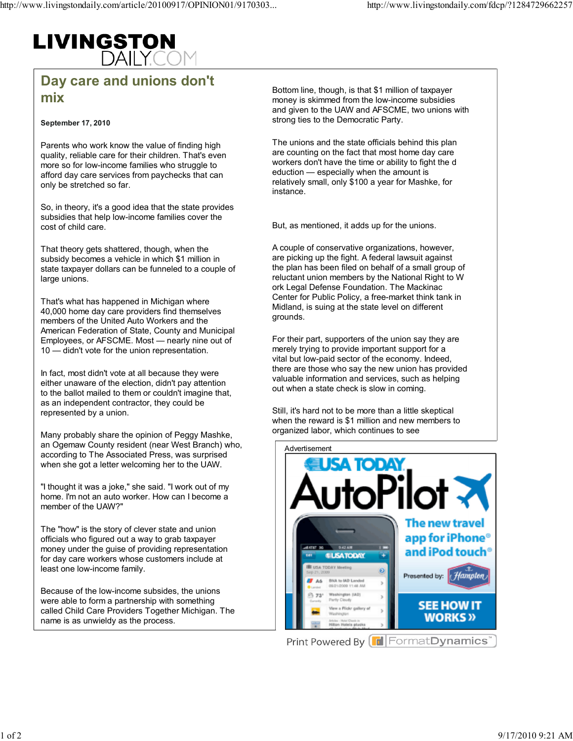## **LIVINGSTON**<br>DAILY.CC

## Day care and unions don't mix

September 17, 2010

Parents who work know the value of finding high quality, reliable care for their children. That's even more so for low-income families who struggle to afford day care services from paychecks that can only be stretched so far.

So, in theory, it's a good idea that the state provides subsidies that help low-income families cover the cost of child care.

That theory gets shattered, though, when the subsidy becomes a vehicle in which \$1 million in state taxpayer dollars can be funneled to a couple of large unions.

That's what has happened in Michigan where 40,000 home day care providers find themselves members of the United Auto Workers and the American Federation of State, County and Municipal Employees, or AFSCME. Most — nearly nine out of 10 — didn't vote for the union representation.

In fact, most didn't vote at all because they were either unaware of the election, didn't pay attention to the ballot mailed to them or couldn't imagine that, as an independent contractor, they could be represented by a union.

Many probably share the opinion of Peggy Mashke, an Ogemaw County resident (near West Branch) who, according to The Associated Press, was surprised when she got a letter welcoming her to the UAW.

"I thought it was a joke," she said. "I work out of my home. I'm not an auto worker. How can I become a member of the UAW?"

The "how" is the story of clever state and union officials who figured out a way to grab taxpayer money under the guise of providing representation for day care workers whose customers include at least one low-income family.

Because of the low-income subsides, the unions were able to form a partnership with something called Child Care Providers Together Michigan. The name is as unwieldy as the process.

Bottom line, though, is that \$1 million of taxpayer money is skimmed from the low-income subsidies and given to the UAW and AFSCME, two unions with strong ties to the Democratic Party.

The unions and the state officials behind this plan are counting on the fact that most home day care workers don't have the time or ability to fight the d eduction — especially when the amount is relatively small, only \$100 a year for Mashke, for instance.

But, as mentioned, it adds up for the unions.

A couple of conservative organizations, however, are picking up the fight. A federal lawsuit against the plan has been filed on behalf of a small group of reluctant union members by the National Right to W ork Legal Defense Foundation. The Mackinac Center for Public Policy, a free-market think tank in Midland, is suing at the state level on different grounds.

For their part, supporters of the union say they are merely trying to provide important support for a vital but low-paid sector of the economy. Indeed, there are those who say the new union has provided valuable information and services, such as helping out when a state check is slow in coming.

Still, it's hard not to be more than a little skeptical when the reward is \$1 million and new members to organized labor, which continues to see



Print Powered By [F | Format Dynamics'